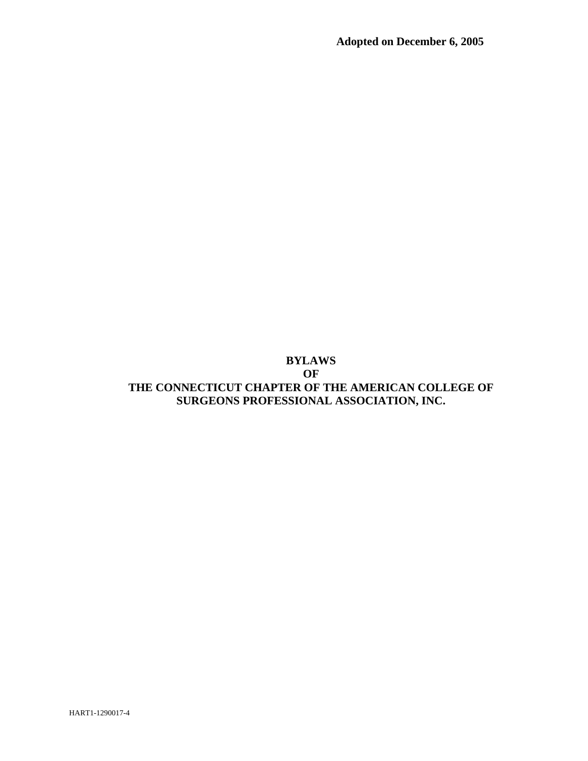## **BYLAWS OF**

# **THE CONNECTICUT CHAPTER OF THE AMERICAN COLLEGE OF SURGEONS PROFESSIONAL ASSOCIATION, INC.**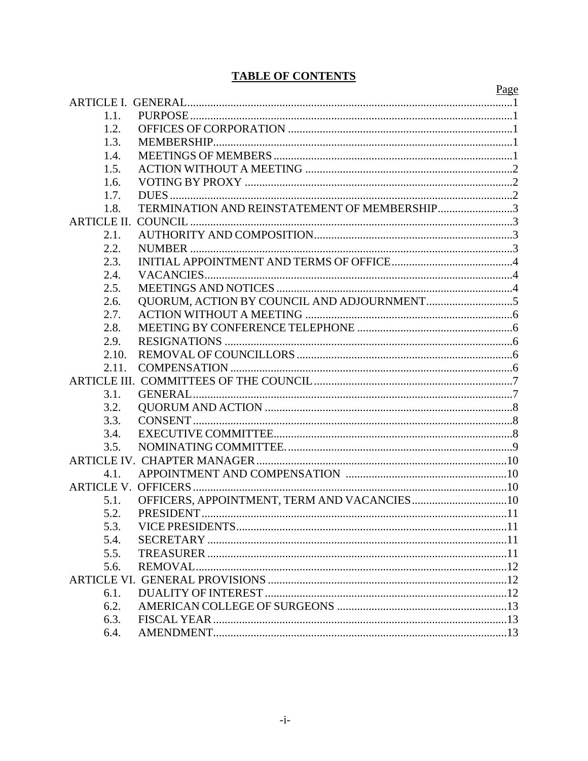# **TABLE OF CONTENTS**

|                    |                                              | Page |
|--------------------|----------------------------------------------|------|
|                    |                                              |      |
| 1.1.               |                                              |      |
| 1.2.               |                                              |      |
| 1.3.               |                                              |      |
| 1.4.               |                                              |      |
| 1.5.               |                                              |      |
| 1.6.               |                                              |      |
| 1.7.               |                                              |      |
| 1.8.               | TERMINATION AND REINSTATEMENT OF MEMBERSHIP3 |      |
| <b>ARTICLE II.</b> |                                              |      |
| 2.1.               |                                              |      |
| 2.2.               |                                              |      |
| 2.3.               |                                              |      |
| 2.4.               |                                              |      |
| 2.5.               |                                              |      |
| 2.6.               |                                              |      |
| 2.7.               |                                              |      |
| 2.8.               |                                              |      |
| 2.9.               |                                              |      |
| 2.10.              |                                              |      |
| 2.11.              |                                              |      |
|                    |                                              |      |
| 3.1.               |                                              |      |
| 3.2.               |                                              |      |
| 3.3.               |                                              |      |
| 3.4.               |                                              |      |
| 3.5.               |                                              |      |
|                    |                                              |      |
| 4.1.               |                                              |      |
|                    |                                              |      |
| 5.1.               |                                              |      |
| 5.2.               |                                              |      |
| 5.3.               |                                              |      |
| 5.4.               |                                              |      |
| 5.5.               |                                              |      |
| 5.6.               |                                              |      |
|                    |                                              |      |
| 6.1.               |                                              |      |
| 6.2.               |                                              |      |
| 6.3.               |                                              |      |
| 6.4.               |                                              |      |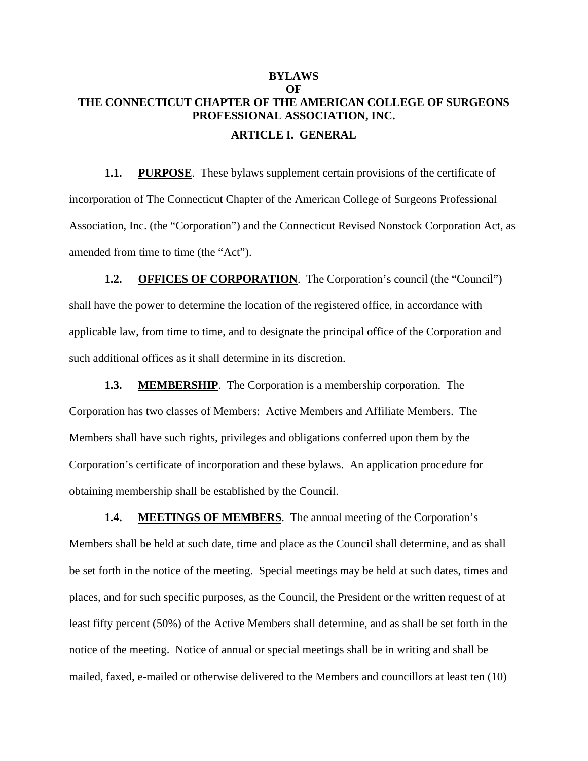# <span id="page-2-0"></span>**BYLAWS OF THE CONNECTICUT CHAPTER OF THE AMERICAN COLLEGE OF SURGEONS PROFESSIONAL ASSOCIATION, INC. ARTICLE I. GENERAL**

**1.1. PURPOSE**. These bylaws supplement certain provisions of the certificate of incorporation of The Connecticut Chapter of the American College of Surgeons Professional Association, Inc. (the "Corporation") and the Connecticut Revised Nonstock Corporation Act, as amended from time to time (the "Act").

**1.2. OFFICES OF CORPORATION.** The Corporation's council (the "Council") shall have the power to determine the location of the registered office, in accordance with applicable law, from time to time, and to designate the principal office of the Corporation and such additional offices as it shall determine in its discretion.

**1.3. MEMBERSHIP**. The Corporation is a membership corporation. The Corporation has two classes of Members: Active Members and Affiliate Members. The Members shall have such rights, privileges and obligations conferred upon them by the Corporation's certificate of incorporation and these bylaws. An application procedure for obtaining membership shall be established by the Council.

**1.4. MEETINGS OF MEMBERS.** The annual meeting of the Corporation's Members shall be held at such date, time and place as the Council shall determine, and as shall be set forth in the notice of the meeting. Special meetings may be held at such dates, times and places, and for such specific purposes, as the Council, the President or the written request of at least fifty percent (50%) of the Active Members shall determine, and as shall be set forth in the notice of the meeting. Notice of annual or special meetings shall be in writing and shall be mailed, faxed, e-mailed or otherwise delivered to the Members and councillors at least ten (10)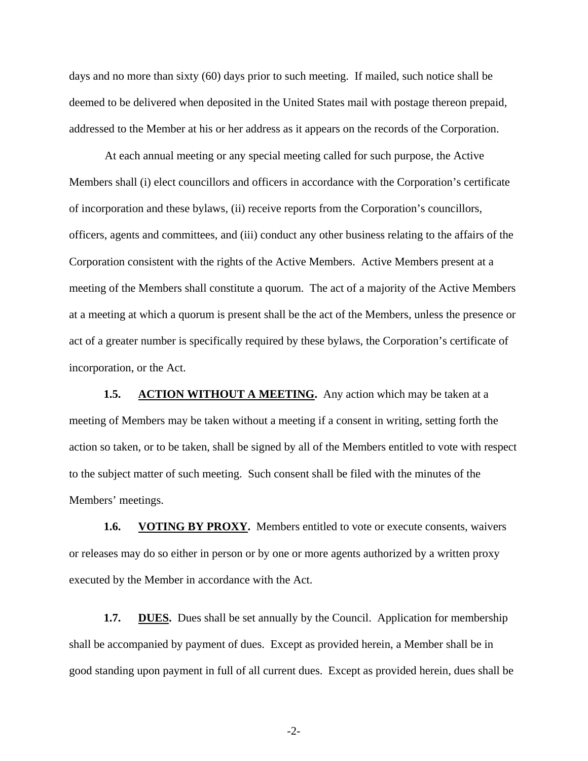<span id="page-3-0"></span>days and no more than sixty (60) days prior to such meeting. If mailed, such notice shall be deemed to be delivered when deposited in the United States mail with postage thereon prepaid, addressed to the Member at his or her address as it appears on the records of the Corporation.

At each annual meeting or any special meeting called for such purpose, the Active Members shall (i) elect councillors and officers in accordance with the Corporation's certificate of incorporation and these bylaws, (ii) receive reports from the Corporation's councillors, officers, agents and committees, and (iii) conduct any other business relating to the affairs of the Corporation consistent with the rights of the Active Members. Active Members present at a meeting of the Members shall constitute a quorum. The act of a majority of the Active Members at a meeting at which a quorum is present shall be the act of the Members, unless the presence or act of a greater number is specifically required by these bylaws, the Corporation's certificate of incorporation, or the Act.

**1.5. ACTION WITHOUT A MEETING.** Any action which may be taken at a meeting of Members may be taken without a meeting if a consent in writing, setting forth the action so taken, or to be taken, shall be signed by all of the Members entitled to vote with respect to the subject matter of such meeting. Such consent shall be filed with the minutes of the Members' meetings.

**1.6. VOTING BY PROXY.** Members entitled to vote or execute consents, waivers or releases may do so either in person or by one or more agents authorized by a written proxy executed by the Member in accordance with the Act.

**1.7. DUES.** Dues shall be set annually by the Council. Application for membership shall be accompanied by payment of dues. Except as provided herein, a Member shall be in good standing upon payment in full of all current dues. Except as provided herein, dues shall be

-2-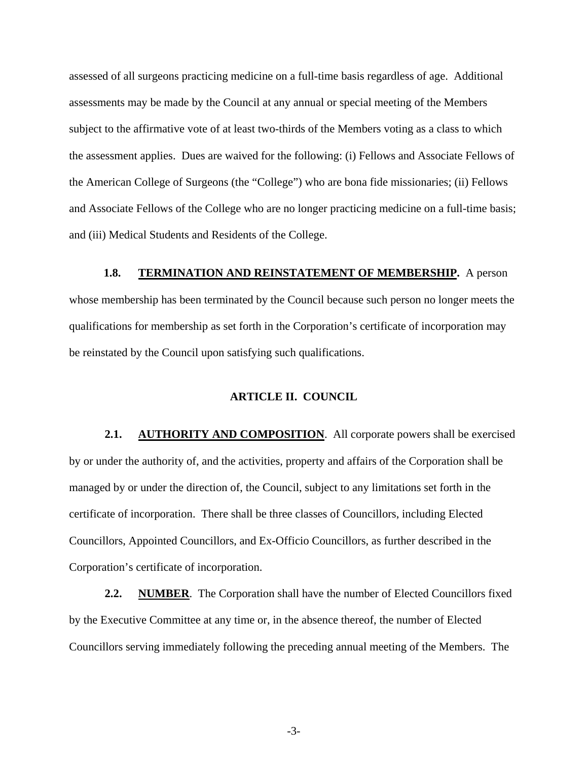<span id="page-4-0"></span>assessed of all surgeons practicing medicine on a full-time basis regardless of age. Additional assessments may be made by the Council at any annual or special meeting of the Members subject to the affirmative vote of at least two-thirds of the Members voting as a class to which the assessment applies. Dues are waived for the following: (i) Fellows and Associate Fellows of the American College of Surgeons (the "College") who are bona fide missionaries; (ii) Fellows and Associate Fellows of the College who are no longer practicing medicine on a full-time basis; and (iii) Medical Students and Residents of the College.

#### **1.8. TERMINATION AND REINSTATEMENT OF MEMBERSHIP.** A person

whose membership has been terminated by the Council because such person no longer meets the qualifications for membership as set forth in the Corporation's certificate of incorporation may be reinstated by the Council upon satisfying such qualifications.

## **ARTICLE II. COUNCIL**

**2.1. AUTHORITY AND COMPOSITION**. All corporate powers shall be exercised by or under the authority of, and the activities, property and affairs of the Corporation shall be managed by or under the direction of, the Council, subject to any limitations set forth in the certificate of incorporation. There shall be three classes of Councillors, including Elected Councillors, Appointed Councillors, and Ex-Officio Councillors, as further described in the Corporation's certificate of incorporation.

**2.2. NUMBER**. The Corporation shall have the number of Elected Councillors fixed by the Executive Committee at any time or, in the absence thereof, the number of Elected Councillors serving immediately following the preceding annual meeting of the Members. The

-3-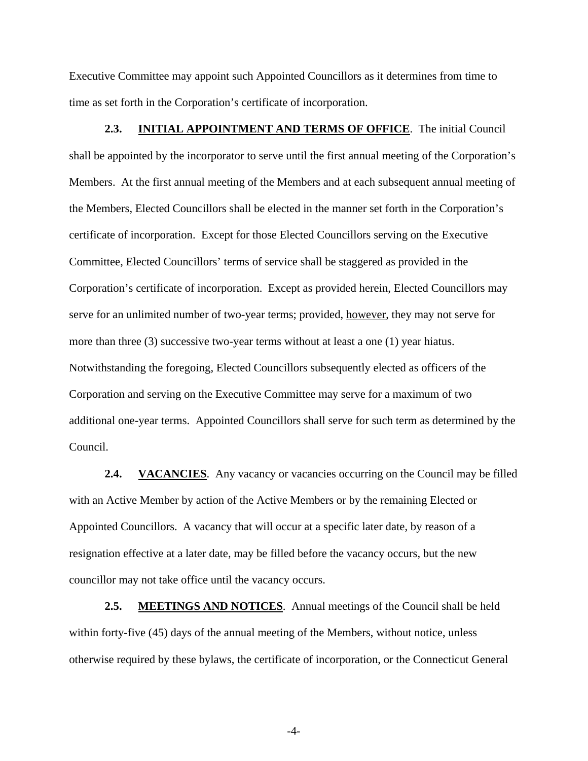<span id="page-5-0"></span>Executive Committee may appoint such Appointed Councillors as it determines from time to time as set forth in the Corporation's certificate of incorporation.

**2.3. INITIAL APPOINTMENT AND TERMS OF OFFICE**. The initial Council shall be appointed by the incorporator to serve until the first annual meeting of the Corporation's Members. At the first annual meeting of the Members and at each subsequent annual meeting of the Members, Elected Councillors shall be elected in the manner set forth in the Corporation's certificate of incorporation. Except for those Elected Councillors serving on the Executive Committee, Elected Councillors' terms of service shall be staggered as provided in the Corporation's certificate of incorporation. Except as provided herein, Elected Councillors may serve for an unlimited number of two-year terms; provided, however, they may not serve for more than three (3) successive two-year terms without at least a one (1) year hiatus. Notwithstanding the foregoing, Elected Councillors subsequently elected as officers of the Corporation and serving on the Executive Committee may serve for a maximum of two additional one-year terms. Appointed Councillors shall serve for such term as determined by the Council.

**2.4. VACANCIES**. Any vacancy or vacancies occurring on the Council may be filled with an Active Member by action of the Active Members or by the remaining Elected or Appointed Councillors. A vacancy that will occur at a specific later date, by reason of a resignation effective at a later date, may be filled before the vacancy occurs, but the new councillor may not take office until the vacancy occurs.

2.5. **MEETINGS AND NOTICES**. Annual meetings of the Council shall be held within forty-five (45) days of the annual meeting of the Members, without notice, unless otherwise required by these bylaws, the certificate of incorporation, or the Connecticut General

-4-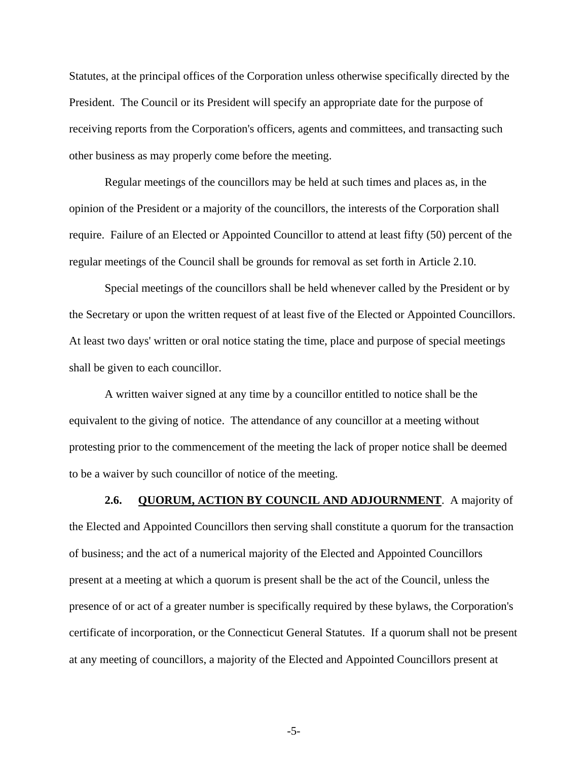<span id="page-6-0"></span>Statutes, at the principal offices of the Corporation unless otherwise specifically directed by the President. The Council or its President will specify an appropriate date for the purpose of receiving reports from the Corporation's officers, agents and committees, and transacting such other business as may properly come before the meeting.

Regular meetings of the councillors may be held at such times and places as, in the opinion of the President or a majority of the councillors, the interests of the Corporation shall require. Failure of an Elected or Appointed Councillor to attend at least fifty (50) percent of the regular meetings of the Council shall be grounds for removal as set forth in Article 2.10.

Special meetings of the councillors shall be held whenever called by the President or by the Secretary or upon the written request of at least five of the Elected or Appointed Councillors. At least two days' written or oral notice stating the time, place and purpose of special meetings shall be given to each councillor.

A written waiver signed at any time by a councillor entitled to notice shall be the equivalent to the giving of notice. The attendance of any councillor at a meeting without protesting prior to the commencement of the meeting the lack of proper notice shall be deemed to be a waiver by such councillor of notice of the meeting.

**2.6. QUORUM, ACTION BY COUNCIL AND ADJOURNMENT**. A majority of the Elected and Appointed Councillors then serving shall constitute a quorum for the transaction of business; and the act of a numerical majority of the Elected and Appointed Councillors present at a meeting at which a quorum is present shall be the act of the Council, unless the presence of or act of a greater number is specifically required by these bylaws, the Corporation's certificate of incorporation, or the Connecticut General Statutes. If a quorum shall not be present at any meeting of councillors, a majority of the Elected and Appointed Councillors present at

-5-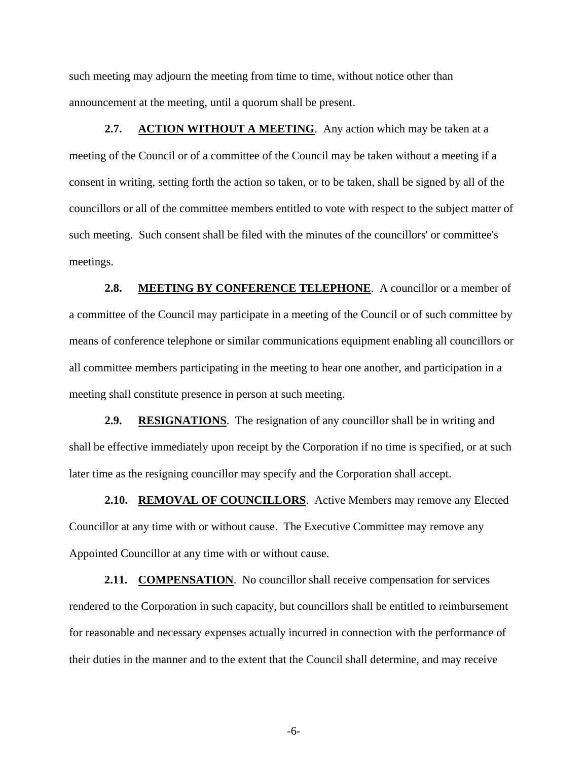<span id="page-7-0"></span>such meeting may adjourn the meeting from time to time, without notice other than announcement at the meeting, until a quorum shall be present.

**2.7. ACTION WITHOUT A MEETING**. Any action which may be taken at a meeting of the Council or of a committee of the Council may be taken without a meeting if a consent in writing, setting forth the action so taken, or to be taken, shall be signed by all of the councillors or all of the committee members entitled to vote with respect to the subject matter of such meeting. Such consent shall be filed with the minutes of the councillors' or committee's meetings.

2.8. MEETING BY CONFERENCE TELEPHONE. A councillor or a member of a committee of the Council may participate in a meeting of the Council or of such committee by means of conference telephone or similar communications equipment enabling all councillors or all committee members participating in the meeting to hear one another, and participation in a meeting shall constitute presence in person at such meeting.

**2.9. RESIGNATIONS**. The resignation of any councillor shall be in writing and shall be effective immediately upon receipt by the Corporation if no time is specified, or at such later time as the resigning councillor may specify and the Corporation shall accept.

2.10. REMOVAL OF COUNCILLORS. Active Members may remove any Elected Councillor at any time with or without cause. The Executive Committee may remove any Appointed Councillor at any time with or without cause.

2.11. **COMPENSATION**. No councillor shall receive compensation for services rendered to the Corporation in such capacity, but councillors shall be entitled to reimbursement for reasonable and necessary expenses actually incurred in connection with the performance of their duties in the manner and to the extent that the Council shall determine, and may receive

-6-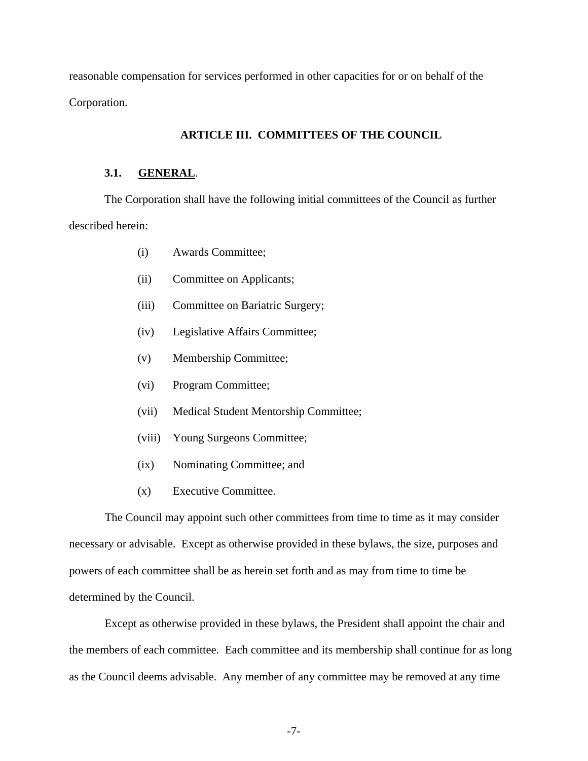<span id="page-8-0"></span>reasonable compensation for services performed in other capacities for or on behalf of the Corporation.

### **ARTICLE III. COMMITTEES OF THE COUNCIL**

#### **3.1. GENERAL**.

The Corporation shall have the following initial committees of the Council as further described herein:

- (i) Awards Committee;
- (ii) Committee on Applicants;
- (iii) Committee on Bariatric Surgery;
- (iv) Legislative Affairs Committee;
- (v) Membership Committee;
- (vi) Program Committee;
- (vii) Medical Student Mentorship Committee;
- (viii) Young Surgeons Committee;
- (ix) Nominating Committee; and
- (x) Executive Committee.

The Council may appoint such other committees from time to time as it may consider necessary or advisable. Except as otherwise provided in these bylaws, the size, purposes and powers of each committee shall be as herein set forth and as may from time to time be determined by the Council.

Except as otherwise provided in these bylaws, the President shall appoint the chair and the members of each committee. Each committee and its membership shall continue for as long as the Council deems advisable. Any member of any committee may be removed at any time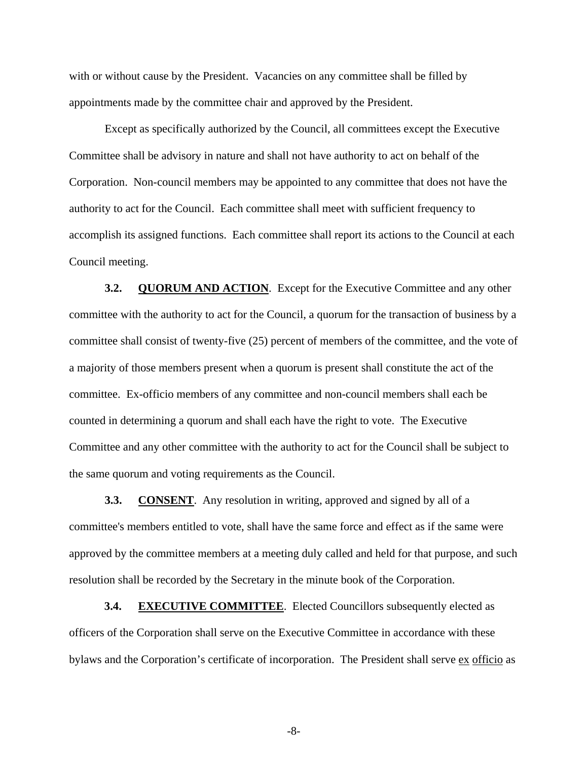<span id="page-9-0"></span>with or without cause by the President. Vacancies on any committee shall be filled by appointments made by the committee chair and approved by the President.

Except as specifically authorized by the Council, all committees except the Executive Committee shall be advisory in nature and shall not have authority to act on behalf of the Corporation. Non-council members may be appointed to any committee that does not have the authority to act for the Council. Each committee shall meet with sufficient frequency to accomplish its assigned functions. Each committee shall report its actions to the Council at each Council meeting.

**3.2. QUORUM AND ACTION.** Except for the Executive Committee and any other committee with the authority to act for the Council, a quorum for the transaction of business by a committee shall consist of twenty-five (25) percent of members of the committee, and the vote of a majority of those members present when a quorum is present shall constitute the act of the committee. Ex-officio members of any committee and non-council members shall each be counted in determining a quorum and shall each have the right to vote. The Executive Committee and any other committee with the authority to act for the Council shall be subject to the same quorum and voting requirements as the Council.

**3.3. CONSENT**. Any resolution in writing, approved and signed by all of a committee's members entitled to vote, shall have the same force and effect as if the same were approved by the committee members at a meeting duly called and held for that purpose, and such resolution shall be recorded by the Secretary in the minute book of the Corporation.

**3.4. EXECUTIVE COMMITTEE.** Elected Councillors subsequently elected as officers of the Corporation shall serve on the Executive Committee in accordance with these bylaws and the Corporation's certificate of incorporation. The President shall serve ex officio as

-8-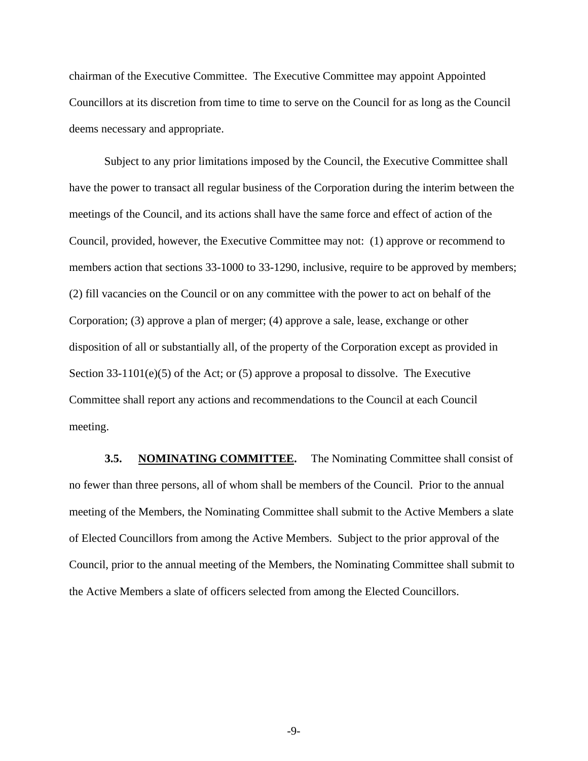<span id="page-10-0"></span>chairman of the Executive Committee. The Executive Committee may appoint Appointed Councillors at its discretion from time to time to serve on the Council for as long as the Council deems necessary and appropriate.

Subject to any prior limitations imposed by the Council, the Executive Committee shall have the power to transact all regular business of the Corporation during the interim between the meetings of the Council, and its actions shall have the same force and effect of action of the Council, provided, however, the Executive Committee may not: (1) approve or recommend to members action that sections 33-1000 to 33-1290, inclusive, require to be approved by members; (2) fill vacancies on the Council or on any committee with the power to act on behalf of the Corporation; (3) approve a plan of merger; (4) approve a sale, lease, exchange or other disposition of all or substantially all, of the property of the Corporation except as provided in Section 33-1101(e)(5) of the Act; or (5) approve a proposal to dissolve. The Executive Committee shall report any actions and recommendations to the Council at each Council meeting.

**3.5. NOMINATING COMMITTEE.** The Nominating Committee shall consist of no fewer than three persons, all of whom shall be members of the Council. Prior to the annual meeting of the Members, the Nominating Committee shall submit to the Active Members a slate of Elected Councillors from among the Active Members. Subject to the prior approval of the Council, prior to the annual meeting of the Members, the Nominating Committee shall submit to the Active Members a slate of officers selected from among the Elected Councillors.

-9-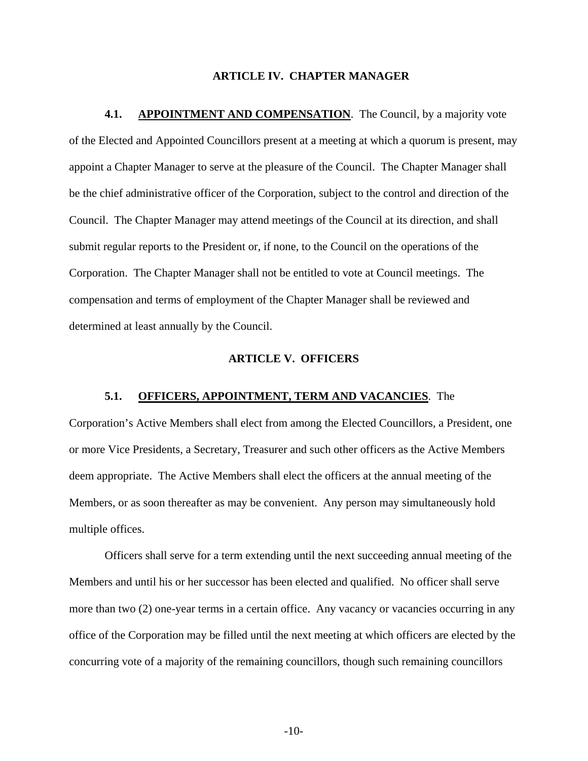#### **ARTICLE IV. CHAPTER MANAGER**

<span id="page-11-0"></span>**4.1.** APPOINTMENT AND COMPENSATION. The Council, by a majority vote of the Elected and Appointed Councillors present at a meeting at which a quorum is present, may appoint a Chapter Manager to serve at the pleasure of the Council. The Chapter Manager shall be the chief administrative officer of the Corporation, subject to the control and direction of the Council. The Chapter Manager may attend meetings of the Council at its direction, and shall submit regular reports to the President or, if none, to the Council on the operations of the Corporation. The Chapter Manager shall not be entitled to vote at Council meetings. The compensation and terms of employment of the Chapter Manager shall be reviewed and determined at least annually by the Council.

#### **ARTICLE V. OFFICERS**

### **5.1. OFFICERS, APPOINTMENT, TERM AND VACANCIES**. The

Corporation's Active Members shall elect from among the Elected Councillors, a President, one or more Vice Presidents, a Secretary, Treasurer and such other officers as the Active Members deem appropriate. The Active Members shall elect the officers at the annual meeting of the Members, or as soon thereafter as may be convenient. Any person may simultaneously hold multiple offices.

Officers shall serve for a term extending until the next succeeding annual meeting of the Members and until his or her successor has been elected and qualified. No officer shall serve more than two (2) one-year terms in a certain office. Any vacancy or vacancies occurring in any office of the Corporation may be filled until the next meeting at which officers are elected by the concurring vote of a majority of the remaining councillors, though such remaining councillors

-10-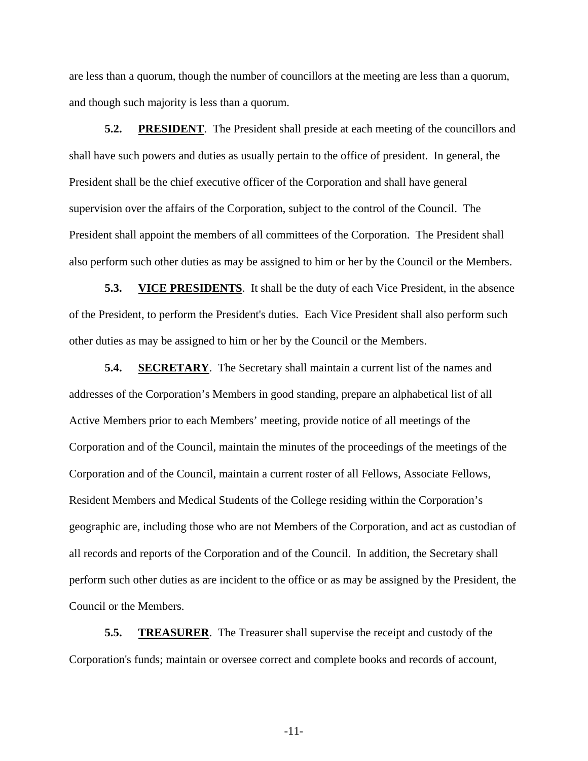<span id="page-12-0"></span>are less than a quorum, though the number of councillors at the meeting are less than a quorum, and though such majority is less than a quorum.

**5.2. PRESIDENT**. The President shall preside at each meeting of the councillors and shall have such powers and duties as usually pertain to the office of president. In general, the President shall be the chief executive officer of the Corporation and shall have general supervision over the affairs of the Corporation, subject to the control of the Council. The President shall appoint the members of all committees of the Corporation. The President shall also perform such other duties as may be assigned to him or her by the Council or the Members.

**5.3. VICE PRESIDENTS**. It shall be the duty of each Vice President, in the absence of the President, to perform the President's duties. Each Vice President shall also perform such other duties as may be assigned to him or her by the Council or the Members.

**5.4. SECRETARY**. The Secretary shall maintain a current list of the names and addresses of the Corporation's Members in good standing, prepare an alphabetical list of all Active Members prior to each Members' meeting, provide notice of all meetings of the Corporation and of the Council, maintain the minutes of the proceedings of the meetings of the Corporation and of the Council, maintain a current roster of all Fellows, Associate Fellows, Resident Members and Medical Students of the College residing within the Corporation's geographic are, including those who are not Members of the Corporation, and act as custodian of all records and reports of the Corporation and of the Council. In addition, the Secretary shall perform such other duties as are incident to the office or as may be assigned by the President, the Council or the Members.

**5.5. TREASURER**. The Treasurer shall supervise the receipt and custody of the Corporation's funds; maintain or oversee correct and complete books and records of account,

-11-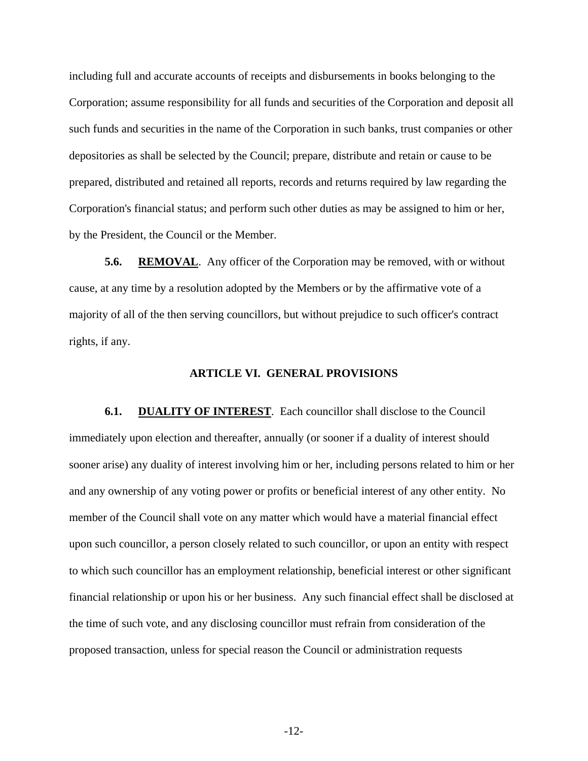<span id="page-13-0"></span>including full and accurate accounts of receipts and disbursements in books belonging to the Corporation; assume responsibility for all funds and securities of the Corporation and deposit all such funds and securities in the name of the Corporation in such banks, trust companies or other depositories as shall be selected by the Council; prepare, distribute and retain or cause to be prepared, distributed and retained all reports, records and returns required by law regarding the Corporation's financial status; and perform such other duties as may be assigned to him or her, by the President, the Council or the Member.

**5.6. REMOVAL.** Any officer of the Corporation may be removed, with or without cause, at any time by a resolution adopted by the Members or by the affirmative vote of a majority of all of the then serving councillors, but without prejudice to such officer's contract rights, if any.

#### **ARTICLE VI. GENERAL PROVISIONS**

**6.1. DUALITY OF INTEREST.** Each councillor shall disclose to the Council immediately upon election and thereafter, annually (or sooner if a duality of interest should sooner arise) any duality of interest involving him or her, including persons related to him or her and any ownership of any voting power or profits or beneficial interest of any other entity. No member of the Council shall vote on any matter which would have a material financial effect upon such councillor, a person closely related to such councillor, or upon an entity with respect to which such councillor has an employment relationship, beneficial interest or other significant financial relationship or upon his or her business. Any such financial effect shall be disclosed at the time of such vote, and any disclosing councillor must refrain from consideration of the proposed transaction, unless for special reason the Council or administration requests

-12-